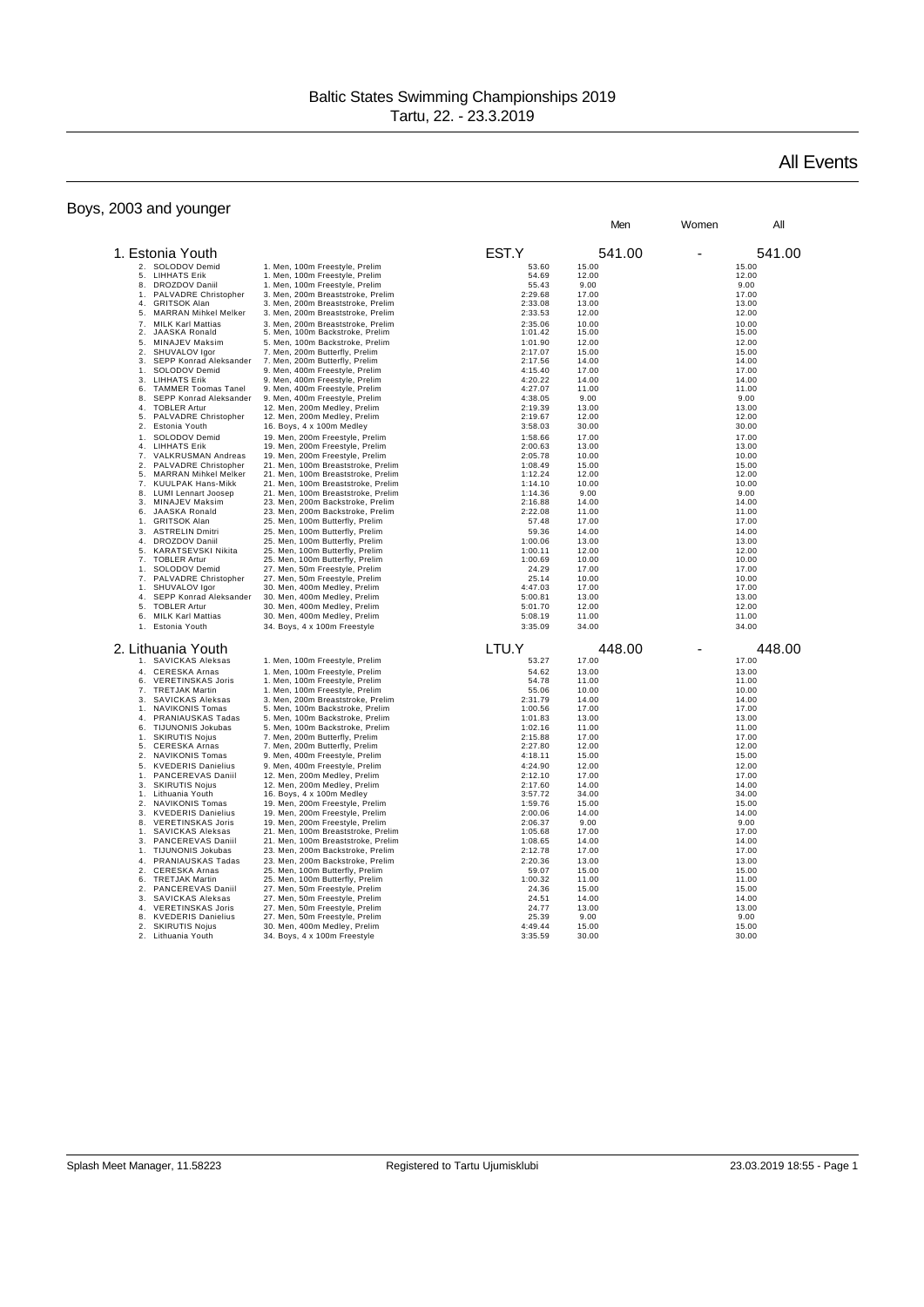## Boys, 2003 and younger

## All Events

|                                                                         |                                                                      |                    | Men            | Women | All            |
|-------------------------------------------------------------------------|----------------------------------------------------------------------|--------------------|----------------|-------|----------------|
| 1. Estonia Youth                                                        |                                                                      | EST.Y              | 541.00         |       | 541.00         |
|                                                                         |                                                                      |                    |                |       |                |
| 2. SOLODOV Demid<br><b>LIHHATS Erik</b><br>5.                           | 1. Men, 100m Freestyle, Prelim<br>1. Men, 100m Freestyle, Prelim     | 53.60<br>54.69     | 15.00<br>12.00 |       | 15.00<br>12.00 |
| <b>DROZDOV Daniil</b><br>8.                                             | 1. Men, 100m Freestyle, Prelim                                       | 55.43              | 9.00           |       | 9.00           |
| PALVADRE Christopher<br>1 <sub>1</sub>                                  | 3. Men, 200m Breaststroke, Prelim                                    | 2:29.68            | 17.00          |       | 17.00          |
| 4.<br><b>GRITSOK Alan</b>                                               | 3. Men, 200m Breaststroke, Prelim                                    | 2:33.08            | 13.00          |       | 13.00          |
| <b>MARRAN Mihkel Melker</b><br>5.                                       | 3. Men, 200m Breaststroke, Prelim                                    | 2:33.53            | 12.00          |       | 12.00          |
| 7.<br><b>MILK Karl Mattias</b><br>2.<br>JAASKA Ronald                   | 3. Men. 200m Breaststroke. Prelim<br>5. Men, 100m Backstroke, Prelim | 2:35.06<br>1:01.42 | 10.00<br>15.00 |       | 10.00<br>15.00 |
| 5.<br>MINAJEV Maksim                                                    | 5. Men, 100m Backstroke, Prelim                                      | 1:01.90            | 12.00          |       | 12.00          |
| 2.<br>SHUVALOV Igor                                                     | 7. Men, 200m Butterfly, Prelim                                       | 2:17.07            | 15.00          |       | 15.00          |
| SEPP Konrad Aleksander<br>3.                                            | 7. Men, 200m Butterfly, Prelim                                       | 2:17.56            | 14.00          |       | 14.00          |
| SOLODOV Demid<br>1.                                                     | 9. Men, 400m Freestyle, Prelim                                       | 4:15.40            | 17.00          |       | 17.00          |
| 3.<br><b>LIHHATS Erik</b>                                               | 9. Men, 400m Freestyle, Prelim                                       | 4:20.22            | 14.00          |       | 14.00          |
| 6.<br><b>TAMMER Toomas Tanel</b><br>8.<br>SEPP Konrad Aleksander        | 9. Men, 400m Freestyle, Prelim<br>9. Men, 400m Freestyle, Prelim     | 4:27.07<br>4:38.05 | 11.00<br>9.00  |       | 11.00<br>9.00  |
| 4.<br><b>TOBLER Artur</b>                                               | 12. Men, 200m Medley, Prelim                                         | 2:19.39            | 13.00          |       | 13.00          |
| 5.<br>PALVADRE Christopher                                              | 12. Men, 200m Medley, Prelim                                         | 2:19.67            | 12.00          |       | 12.00          |
| 2.<br>Estonia Youth                                                     | 16. Boys, 4 x 100m Medley                                            | 3:58.03            | 30.00          |       | 30.00          |
| SOLODOV Demid<br>1 <sub>1</sub>                                         | 19. Men, 200m Freestyle, Prelim                                      | 1:58.66            | 17.00          |       | 17.00          |
| 4.<br><b>LIHHATS Erik</b><br>7.<br>VALKRUSMAN Andreas                   | 19. Men, 200m Freestyle, Prelim<br>19. Men, 200m Freestyle, Prelim   | 2:00.63<br>2:05.78 | 13.00<br>10.00 |       | 13.00<br>10.00 |
| 2.<br>PALVADRE Christopher                                              | 21. Men, 100m Breaststroke, Prelim                                   | 1:08.49            | 15.00          |       | 15.00          |
| 5.<br><b>MARRAN Mihkel Melker</b>                                       | 21. Men, 100m Breaststroke, Prelim                                   | 1:12.24            | 12.00          |       | 12.00          |
| 7.<br>KUULPAK Hans-Mikk                                                 | 21. Men, 100m Breaststroke, Prelim                                   | 1:14.10            | 10.00          |       | 10.00          |
| 8.<br><b>LUMI Lennart Joosep</b>                                        | 21. Men, 100m Breaststroke, Prelim                                   | 1:14.36            | 9.00           |       | 9.00           |
| MINAJEV Maksim<br>3.<br>6.<br><b>JAASKA Ronald</b>                      | 23. Men, 200m Backstroke, Prelim<br>23. Men, 200m Backstroke, Prelim | 2:16.88<br>2:22.08 | 14.00<br>11.00 |       | 14.00<br>11.00 |
| 1.<br><b>GRITSOK Alan</b>                                               | 25. Men, 100m Butterfly, Prelim                                      | 57.48              | 17.00          |       | 17.00          |
| 3.<br><b>ASTRELIN Dmitri</b>                                            | 25. Men, 100m Butterfly, Prelim                                      | 59.36              | 14.00          |       | 14.00          |
| 4.<br>DROZDOV Daniil                                                    | 25. Men, 100m Butterfly, Prelim                                      | 1:00.06            | 13.00          |       | 13.00          |
| 5.<br>KARATSEVSKI Nikita                                                | 25. Men, 100m Butterfly, Prelim                                      | 1:00.11            | 12.00          |       | 12.00          |
| <b>TOBLER Artur</b><br>7 <sup>1</sup>                                   | 25. Men, 100m Butterfly, Prelim                                      | 1:00.69            | 10.00          |       | 10.00          |
| SOLODOV Demid<br>1 <sup>1</sup><br>PALVADRE Christopher<br>7.           | 27. Men, 50m Freestyle, Prelim<br>27. Men, 50m Freestyle, Prelim     | 24.29<br>25.14     | 17.00<br>10.00 |       | 17.00<br>10.00 |
| SHUVALOV Igor<br>1.                                                     | 30. Men, 400m Medley, Prelim                                         | 4:47.03            | 17.00          |       | 17.00          |
| 4.<br>SEPP Konrad Aleksander                                            | 30. Men, 400m Medley, Prelim                                         | 5:00.81            | 13.00          |       | 13.00          |
| 5.<br><b>TOBLER Artur</b>                                               | 30. Men, 400m Medley, Prelim                                         | 5:01.70            | 12.00          |       | 12.00          |
| 6.<br><b>MILK Karl Mattias</b>                                          | 30. Men, 400m Medley, Prelim                                         | 5:08.19            | 11.00          |       | 11.00          |
| Estonia Youth<br>1 <sup>1</sup>                                         | 34. Boys, 4 x 100m Freestyle                                         | 3:35.09            | 34.00          |       | 34.00          |
| 2. Lithuania Youth                                                      |                                                                      | LTU.Y              | 448.00         |       | 448.00         |
| 1. SAVICKAS Aleksas                                                     | 1. Men, 100m Freestyle, Prelim                                       | 53.27              | 17.00          |       | 17.00          |
| <b>CERESKA Arnas</b><br>4.                                              | 1. Men, 100m Freestyle, Prelim                                       | 54.62              | 13.00          |       | 13.00          |
| <b>VERETINSKAS Joris</b><br>6.                                          | 1. Men, 100m Freestyle, Prelim                                       | 54.78              | 11.00          |       | 11.00          |
| <b>TRETJAK Martin</b><br>7 <sup>1</sup><br>3.<br>SAVICKAS Aleksas       | 1. Men, 100m Freestyle, Prelim<br>3. Men, 200m Breaststroke, Prelim  | 55.06<br>2:31.79   | 10.00<br>14.00 |       | 10.00<br>14.00 |
| <b>NAVIKONIS Tomas</b><br>1.                                            | 5. Men, 100m Backstroke, Prelim                                      | 1:00.56            | 17.00          |       | 17.00          |
| 4.<br>PRANIAUSKAS Tadas                                                 | 5. Men, 100m Backstroke, Prelim                                      | 1:01.83            | 13.00          |       | 13.00          |
| 6.<br><b>TIJUNONIS Jokubas</b>                                          | 5. Men, 100m Backstroke, Prelim                                      | 1:02.16            | 11.00          |       | 11.00          |
| <b>SKIRUTIS Nojus</b><br>1 <sub>1</sub>                                 | 7. Men, 200m Butterfly, Prelim                                       | 2:15.88<br>2:27.80 | 17.00          |       | 17.00          |
| 5.<br><b>CERESKA Arnas</b><br>2.<br>NAVIKONIS Tomas                     | 7. Men, 200m Butterfly, Prelim<br>9. Men, 400m Freestyle, Prelim     | 4:18.11            | 12.00<br>15.00 |       | 12.00<br>15.00 |
| 5.<br><b>KVEDERIS Danielius</b>                                         | 9. Men, 400m Freestyle, Prelim                                       | 4:24.90            | 12.00          |       | 12.00          |
| 1.<br>PANCEREVAS Daniil                                                 | 12. Men, 200m Medley, Prelim                                         | 2:12.10            | 17.00          |       | 17.00          |
| 3.<br><b>SKIRUTIS Nojus</b>                                             | 12. Men, 200m Medley, Prelim                                         | 2:17.60            | 14.00          |       | 14.00          |
| Lithuania Youth<br>1 <sub>1</sub>                                       | 16. Boys, 4 x 100m Medley                                            | 3:57.72            | 34.00          |       | 34.00          |
| 2.<br><b>NAVIKONIS Tomas</b><br>3.<br><b>KVEDERIS Danielius</b>         | 19. Men, 200m Freestyle, Prelim<br>19. Men, 200m Freestyle, Prelim   | 1:59.76<br>2:00.06 | 15.00<br>14.00 |       | 15.00<br>14.00 |
| <b>VERETINSKAS Joris</b><br>8.                                          | 19. Men, 200m Freestyle, Prelim                                      | 2:06.37            | 9.00           |       | 9.00           |
| SAVICKAS Aleksas<br>1.                                                  | 21. Men, 100m Breaststroke, Prelim                                   | 1:05.68            | 17.00          |       | 17.00          |
| 3.<br>PANCEREVAS Daniil                                                 | 21. Men, 100m Breaststroke, Prelim                                   | 1:08.65            | 14.00          |       | 14.00          |
| TIJUNONIS Jokubas<br>1.                                                 | 23. Men, 200m Backstroke, Prelim                                     | 2:12.78            | 17.00          |       | 17.00          |
| 4.<br>PRANIAUSKAS Tadas                                                 | 23. Men, 200m Backstroke, Prelim                                     | 2:20.36            | 13.00          |       | 13.00          |
| $\mathfrak{D}$ .<br><b>CERESKA Arnas</b><br>6.<br><b>TRETJAK Martin</b> | 25. Men, 100m Butterfly, Prelim<br>25. Men, 100m Butterfly, Prelim   | 59.07<br>1:00.32   | 15.00<br>11.00 |       | 15.00<br>11.00 |
| 2.<br>PANCEREVAS Daniil                                                 | 27. Men, 50m Freestyle, Prelim                                       | 24.36              | 15.00          |       | 15.00          |
| 3.<br>SAVICKAS Aleksas                                                  | 27. Men, 50m Freestyle, Prelim                                       | 24.51              | 14.00          |       | 14.00          |
| $\mathbf{A}$<br><b>VERETINSKAS Joris</b>                                | 27. Men, 50m Freestyle, Prelim                                       | 24.77              | 13.00          |       | 13.00          |
| 8.<br><b>KVEDERIS Danielius</b><br>2.<br><b>SKIRUTIS Nojus</b>          | 27. Men, 50m Freestyle, Prelim<br>30. Men, 400m Medley, Prelim       | 25.39<br>4:49.44   | 9.00<br>15.00  |       | 9.00<br>15.00  |
| 2.<br>Lithuania Youth                                                   | 34. Boys, 4 x 100m Freestyle                                         | 3:35.59            | 30.00          |       | 30.00          |
|                                                                         |                                                                      |                    |                |       |                |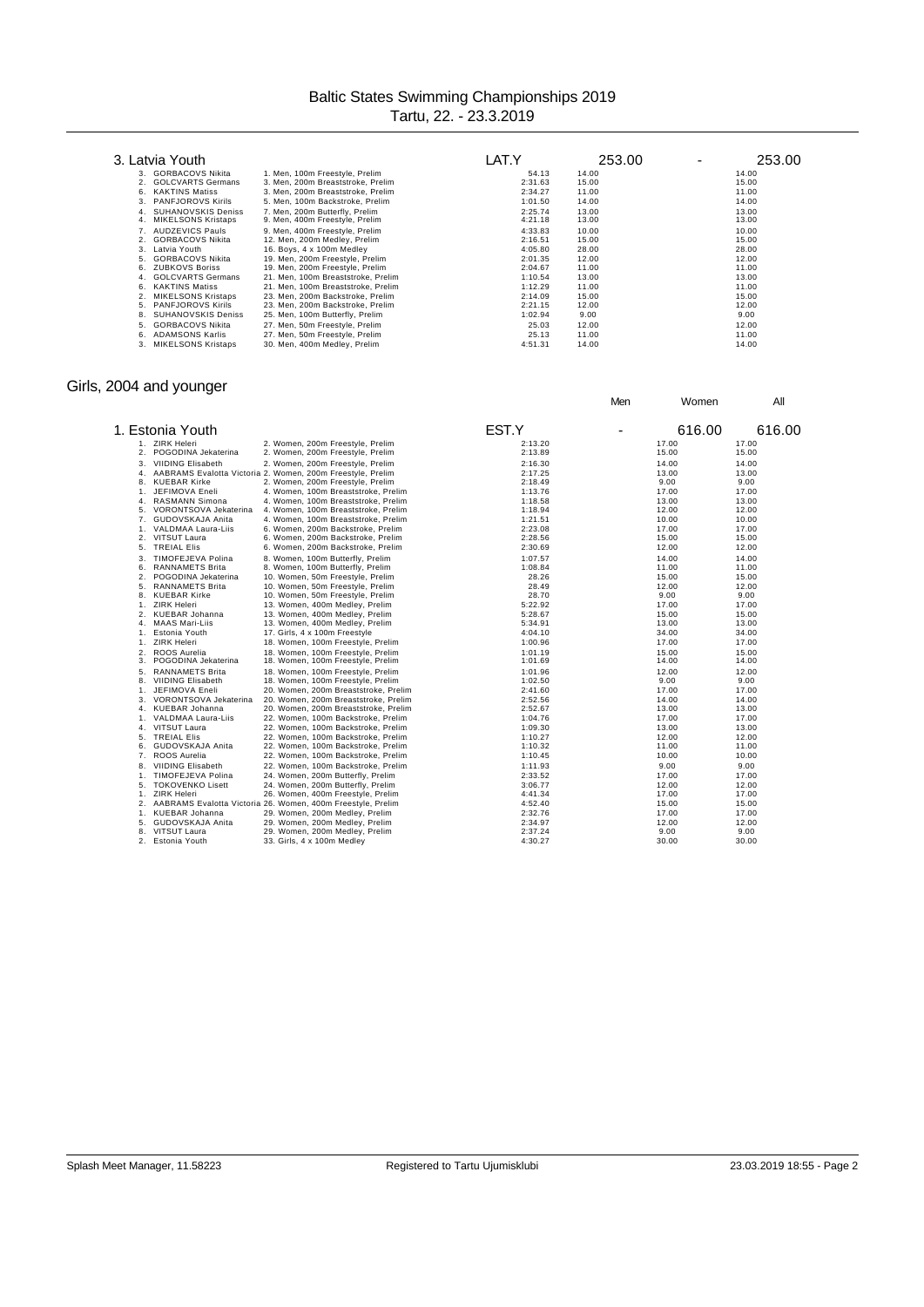|          | 3. Latvia Youth                                        |                                                                  | LAT.Y              | 253.00         | 253.00<br>-    |
|----------|--------------------------------------------------------|------------------------------------------------------------------|--------------------|----------------|----------------|
|          | 3. GORBACOVS Nikita                                    | 1. Men, 100m Freestyle, Prelim                                   | 54.13              | 14.00          | 14.00          |
|          | <b>GOLCVARTS Germans</b>                               | 3. Men, 200m Breaststroke, Prelim                                | 2:31.63            | 15.00          | 15.00          |
| 6.       | <b>KAKTINS Matiss</b>                                  | 3. Men, 200m Breaststroke, Prelim                                | 2:34.27            | 11.00          | 11.00          |
| 3.       | <b>PANFJOROVS Kirils</b>                               | 5. Men, 100m Backstroke, Prelim                                  | 1:01.50            | 14.00          | 14.00          |
| 4.<br>4. | <b>SUHANOVSKIS Deniss</b><br><b>MIKELSONS Kristaps</b> | 7. Men. 200m Butterfly, Prelim<br>9. Men, 400m Freestyle, Prelim | 2:25.74<br>4:21.18 | 13.00<br>13.00 | 13.00<br>13.00 |
|          | <b>AUDZEVICS Pauls</b>                                 | 9. Men, 400m Freestyle, Prelim                                   | 4:33.83            | 10.00          | 10.00          |
|          | <b>GORBACOVS Nikita</b>                                | 12. Men, 200m Medley, Prelim                                     | 2:16.51            | 15.00          | 15.00          |
| 3.       | Latvia Youth                                           | 16. Boys, 4 x 100m Medley                                        | 4:05.80            | 28.00          | 28.00          |
| 5.       | <b>GORBACOVS Nikita</b>                                | 19. Men, 200m Freestyle, Prelim                                  | 2:01.35            | 12.00          | 12.00          |
| 6.       | <b>ZUBKOVS Boriss</b>                                  | 19. Men, 200m Freestyle, Prelim                                  | 2:04.67            | 11.00          | 11.00          |
| 4.       | <b>GOLCVARTS Germans</b>                               | 21. Men, 100m Breaststroke, Prelim                               | 1:10.54            | 13.00          | 13.00          |
| 6.       | <b>KAKTINS Matiss</b>                                  | 21. Men, 100m Breaststroke, Prelim                               | 1:12.29            | 11.00          | 11.00          |
| 2.       | <b>MIKELSONS Kristaps</b>                              | 23. Men, 200m Backstroke, Prelim                                 | 2:14.09            | 15.00          | 15.00          |
| 5.       | <b>PANFJOROVS Kirils</b>                               | 23. Men, 200m Backstroke, Prelim                                 | 2:21.15            | 12.00          | 12.00          |
| 8.       | <b>SUHANOVSKIS Deniss</b>                              | 25. Men, 100m Butterfly, Prelim                                  | 1:02.94            | 9.00           | 9.00           |
| 5.       | <b>GORBACOVS Nikita</b>                                | 27. Men, 50m Freestyle, Prelim                                   | 25.03              | 12.00          | 12.00          |
| 6.       | <b>ADAMSONS Karlis</b>                                 | 27. Men, 50m Freestyle, Prelim                                   | 25.13              | 11.00          | 11.00          |
| 3.       | <b>MIKELSONS Kristaps</b>                              | 30. Men. 400m Medlev. Prelim                                     | 4:51.31            | 14.00          | 14.00          |

### Girls, 2004 and younger

| 1. ZIRK Heleri<br>2. Women, 200m Freestyle, Prelim<br>2:13.20<br>17.00<br>17.00                      |  |
|------------------------------------------------------------------------------------------------------|--|
| POGODINA Jekaterina<br>2.<br>2. Women, 200m Freestyle, Prelim<br>2:13.89<br>15.00<br>15.00           |  |
| <b>VIIDING Elisabeth</b><br>3.<br>2. Women, 200m Freestyle, Prelim<br>2:16.30<br>14.00<br>14.00      |  |
| AABRAMS Evalotta Victoria 2. Women, 200m Freestyle, Prelim<br>2:17.25<br>13.00<br>13.00<br>4.        |  |
| <b>KUEBAR Kirke</b><br>2. Women, 200m Freestyle, Prelim<br>9.00<br>9.00<br>2:18.49<br>8.             |  |
| JEFIMOVA Eneli<br>4. Women, 100m Breaststroke, Prelim<br>1:13.76<br>17.00<br>17.00<br>1.             |  |
| 1:18.58<br>13.00<br>RASMANN Simona<br>4. Women, 100m Breaststroke, Prelim<br>13.00<br>4.             |  |
| VORONTSOVA Jekaterina<br>1:18.94<br>12.00<br>12.00<br>5.<br>4. Women, 100m Breaststroke, Prelim      |  |
| GUDOVSKAJA Anita<br>4. Women, 100m Breaststroke, Prelim<br>1:21.51<br>10.00<br>10.00<br>7.           |  |
| VALDMAA Laura-Liis<br>2:23.08<br>17.00<br>17.00<br>6. Women, 200m Backstroke, Prelim<br>1.           |  |
| 2. VITSUT Laura<br>2:28.56<br>15.00<br>6. Women, 200m Backstroke, Prelim<br>15.00                    |  |
| <b>TREIAL Elis</b><br>2:30.69<br>12.00<br>12.00<br>5.<br>6. Women, 200m Backstroke, Prelim           |  |
| TIMOFEJEVA Polina<br>8. Women, 100m Butterfly, Prelim<br>1:07.57<br>14.00<br>14.00<br>3.             |  |
| 1:08.84<br>11.00<br><b>RANNAMETS Brita</b><br>8. Women, 100m Butterfly, Prelim<br>11.00              |  |
| 6.                                                                                                   |  |
| $\overline{2}$<br>POGODINA Jekaterina<br>10. Women, 50m Freestyle, Prelim<br>28.26<br>15.00<br>15.00 |  |
| <b>RANNAMETS Brita</b><br>10. Women, 50m Freestyle, Prelim<br>28.49<br>12.00<br>12.00<br>5.          |  |
| <b>KUEBAR Kirke</b><br>10. Women, 50m Freestyle, Prelim<br>28.70<br>9.00<br>8.<br>9.00               |  |
| <b>ZIRK Heleri</b><br>13. Women, 400m Medley, Prelim<br>5:22.92<br>17.00<br>1.<br>17.00              |  |
| <b>KUEBAR Johanna</b><br>13. Women, 400m Medley, Prelim<br>5:28.67<br>15.00<br>2.<br>15.00           |  |
| <b>MAAS Mari-Liis</b><br>13. Women, 400m Medley, Prelim<br>5:34.91<br>13.00<br>13.00<br>4.           |  |
| Estonia Youth<br>34.00<br>34.00<br>17. Girls, 4 x 100m Freestyle<br>4:04.10<br>1.                    |  |
| <b>ZIRK Heleri</b><br>18. Women, 100m Freestyle, Prelim<br>1:00.96<br>17.00<br>17.00<br>1.           |  |
| ROOS Aurelia<br>18. Women, 100m Freestyle, Prelim<br>1:01.19<br>15.00<br>15.00<br>2.                 |  |
| POGODINA Jekaterina<br>1:01.69<br>14.00<br>14.00<br>3.<br>18. Women, 100m Freestyle, Prelim          |  |
| <b>RANNAMETS Brita</b><br>18. Women, 100m Freestyle, Prelim<br>1:01.96<br>12.00<br>12.00<br>5.       |  |
| 9.00<br>9.00<br>8.<br><b>VIIDING Elisabeth</b><br>18. Women, 100m Freestyle, Prelim<br>1:02.50       |  |
| <b>JEFIMOVA Eneli</b><br>20. Women, 200m Breaststroke, Prelim<br>2:41.60<br>17.00<br>17.00<br>1.     |  |
| VORONTSOVA Jekaterina<br>20. Women, 200m Breaststroke, Prelim<br>2:52.56<br>14.00<br>14.00<br>3.     |  |
| 13.00<br><b>KUEBAR Johanna</b><br>20. Women, 200m Breaststroke, Prelim<br>2:52.67<br>13.00<br>4.     |  |
| VALDMAA Laura-Liis<br>1:04.76<br>17.00<br>17.00<br>22. Women, 100m Backstroke, Prelim<br>1.          |  |
| 13.00<br>4. VITSUT Laura<br>22. Women, 100m Backstroke, Prelim<br>1:09.30<br>13.00                   |  |
| <b>TREIAL Elis</b><br>22. Women, 100m Backstroke, Prelim<br>1:10.27<br>12.00<br>12.00<br>5.          |  |
| GUDOVSKAJA Anita<br>11.00<br>22. Women, 100m Backstroke, Prelim<br>1:10.32<br>11.00<br>6.            |  |
| ROOS Aurelia<br>10.00<br>10.00<br>22. Women, 100m Backstroke, Prelim<br>1:10.45<br>7.                |  |
| <b>VIIDING Elisabeth</b><br>1:11.93<br>9.00<br>9.00<br>22. Women, 100m Backstroke, Prelim<br>8.      |  |
| TIMOFEJEVA Polina<br>2:33.52<br>17.00<br>24. Women, 200m Butterfly, Prelim<br>17.00<br>1.            |  |
| <b>TOKOVENKO Lisett</b><br>3:06.77<br>12.00<br>5.<br>24. Women, 200m Butterfly, Prelim<br>12.00      |  |
| <b>ZIRK Heleri</b><br>26. Women, 400m Freestyle, Prelim<br>4:41.34<br>17.00<br>17.00<br>1.           |  |
| AABRAMS Evalotta Victoria 26. Women, 400m Freestyle, Prelim<br>4:52.40<br>15.00<br>15.00<br>2.       |  |
| 2:32.76<br>17.00<br><b>KUEBAR Johanna</b><br>29. Women, 200m Medley, Prelim<br>17.00<br>1.           |  |
| GUDOVSKAJA Anita<br>2:34.97<br>12.00<br>5.<br>29. Women, 200m Medley, Prelim<br>12.00                |  |
| VITSUT Laura<br>2:37.24<br>9.00<br>9.00<br>8.<br>29. Women, 200m Medley, Prelim                      |  |
| 2.<br>Estonia Youth<br>33. Girls, 4 x 100m Medley<br>4:30.27<br>30.00<br>30.00                       |  |

Men Women All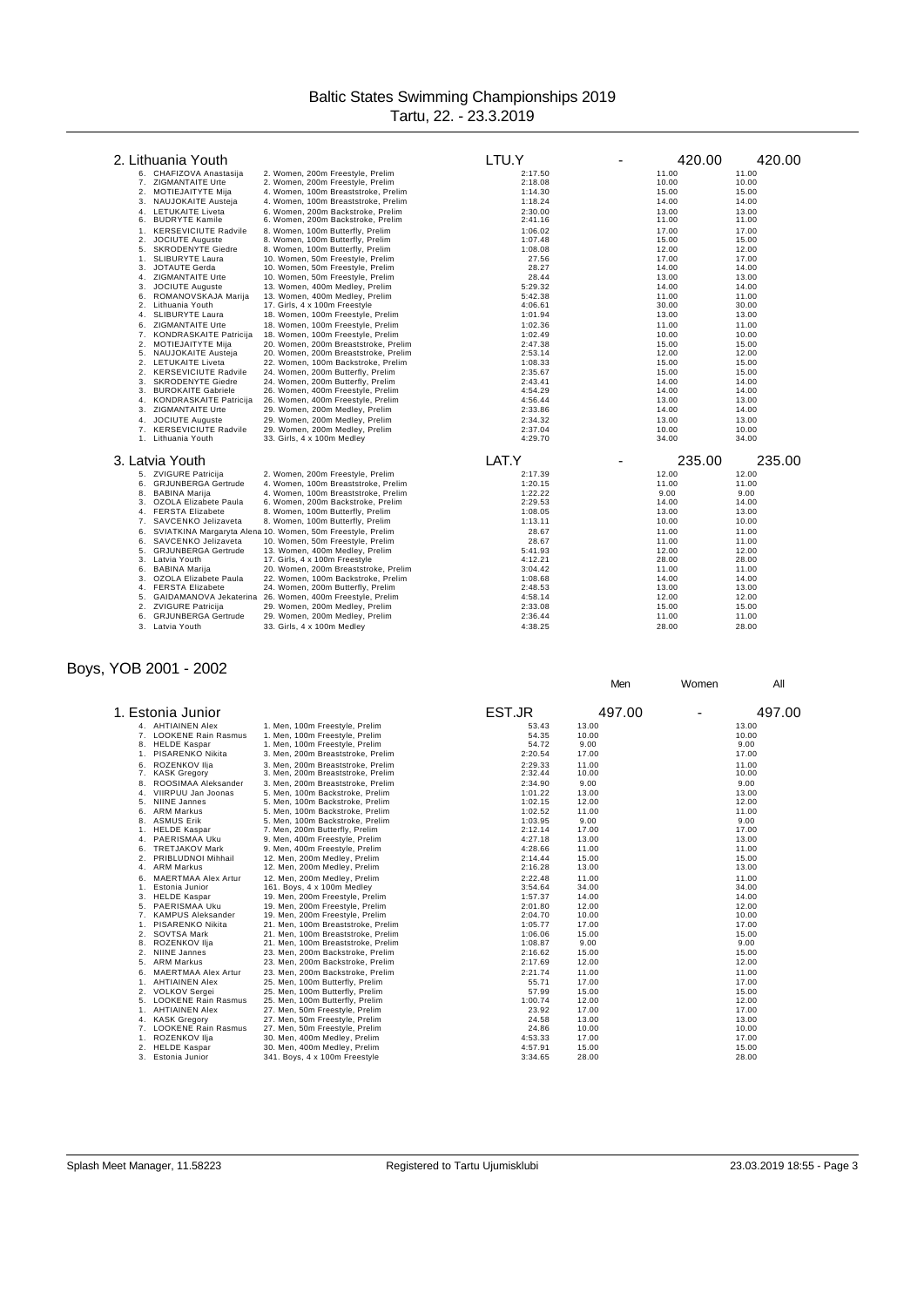| 2. Lithuania Youth                                           |                                                                                                | LTU.Y              | 420.00         | 420.00         |
|--------------------------------------------------------------|------------------------------------------------------------------------------------------------|--------------------|----------------|----------------|
| 6. CHAFIZOVA Anastasija                                      | 2. Women, 200m Freestyle, Prelim                                                               | 2:17.50            | 11.00          | 11.00          |
| 7. ZIGMANTAITE Urte                                          | 2. Women, 200m Freestyle, Prelim                                                               | 2:18.08            | 10.00          | 10.00          |
| 2.<br>MOTIEJAITYTE Mija                                      | 4. Women, 100m Breaststroke, Prelim                                                            | 1:14.30            | 15.00          | 15.00          |
| NAUJOKAITE Austeja<br>3.                                     | 4. Women, 100m Breaststroke, Prelim                                                            | 1:18.24            | 14.00          | 14.00          |
| LETUKAITE Liveta<br>4.<br><b>BUDRYTE Kamile</b><br>6.        | 6. Women. 200m Backstroke. Prelim<br>6. Women, 200m Backstroke, Prelim                         | 2:30.00<br>2:41.16 | 13.00<br>11.00 | 13.00<br>11.00 |
| <b>KERSEVICIUTE Radvile</b><br>1.                            | 8. Women, 100m Butterfly, Prelim                                                               | 1:06.02            | 17.00          | 17.00          |
| 2.<br><b>JOCIUTE Auguste</b>                                 | 8. Women, 100m Butterfly, Prelim                                                               | 1:07.48            | 15.00          | 15.00          |
| <b>SKRODENYTE Giedre</b><br>5.                               | 8. Women, 100m Butterfly, Prelim                                                               | 1:08.08            | 12.00          | 12.00          |
| SLIBURYTE Laura<br>1.                                        | 10. Women, 50m Freestyle, Prelim                                                               | 27.56              | 17.00          | 17.00          |
| JOTAUTE Gerda<br>3.                                          | 10. Women, 50m Freestyle, Prelim                                                               | 28.27              | 14.00          | 14.00          |
| ZIGMANTAITE Urte<br>4.<br><b>JOCIUTE Auguste</b><br>3.       | 10. Women, 50m Freestyle, Prelim<br>13. Women, 400m Medley, Prelim                             | 28.44<br>5:29.32   | 13.00<br>14.00 | 13.00<br>14.00 |
| ROMANOVSKAJA Marija<br>6.                                    | 13. Women, 400m Medley, Prelim                                                                 | 5:42.38            | 11.00          | 11.00          |
| Lithuania Youth<br>2.                                        | 17. Girls, 4 x 100m Freestyle                                                                  | 4:06.61            | 30.00          | 30.00          |
| <b>SLIBURYTE Laura</b><br>4.                                 | 18. Women, 100m Freestyle, Prelim                                                              | 1:01.94            | 13.00          | 13.00          |
| 6.<br>ZIGMANTAITE Urte                                       | 18. Women, 100m Freestyle, Prelim                                                              | 1:02.36            | 11.00          | 11.00          |
| <b>KONDRASKAITE Patricija</b><br>7.                          | 18. Women, 100m Freestyle, Prelim                                                              | 1:02.49            | 10.00          | 10.00          |
| 2.<br>MOTIEJAITYTE Mija                                      | 20. Women, 200m Breaststroke, Prelim                                                           | 2:47.38            | 15.00          | 15.00          |
| NAUJOKAITE Austeja<br>5.                                     | 20. Women, 200m Breaststroke, Prelim                                                           | 2:53.14            | 12.00          | 12.00          |
| 2. LETUKAITE Liveta                                          | 22. Women, 100m Backstroke, Prelim                                                             | 1:08.33            | 15.00          | 15.00          |
| <b>KERSEVICIUTE Radvile</b><br>2.                            | 24. Women, 200m Butterfly, Prelim                                                              | 2:35.67            | 15.00          | 15.00          |
| <b>SKRODENYTE Giedre</b><br>3.                               | 24. Women, 200m Butterfly, Prelim                                                              | 2:43.41            | 14.00          | 14.00          |
| 3.<br><b>BUROKAITE Gabriele</b>                              | 26. Women, 400m Freestyle, Prelim                                                              | 4:54.29            | 14.00          | 14.00          |
| <b>KONDRASKAITE Patricija</b><br>4.                          | 26. Women, 400m Freestyle, Prelim                                                              | 4:56.44            | 13.00          | 13.00          |
| ZIGMANTAITE Urte<br>3.                                       | 29. Women, 200m Medley, Prelim                                                                 | 2:33.86            | 14.00          | 14.00          |
| <b>JOCIUTE Auguste</b><br>4.                                 | 29. Women, 200m Medley, Prelim                                                                 | 2:34.32            | 13.00          | 13.00          |
| <b>KERSEVICIUTE Radvile</b><br>7.                            | 29. Women, 200m Medley, Prelim                                                                 | 2:37.04            | 10.00          | 10.00          |
| 1. Lithuania Youth                                           | 33. Girls, 4 x 100m Medley                                                                     | 4:29.70            | 34.00          | 34.00          |
| 3. Latvia Youth                                              |                                                                                                | LAT.Y              | 235.00         | 235.00         |
| 5. ZVIGURE Patricija                                         | 2. Women, 200m Freestyle, Prelim                                                               | 2:17.39            | 12.00          | 12.00          |
| <b>GRJUNBERGA Gertrude</b><br>6.                             | 4. Women, 100m Breaststroke, Prelim                                                            | 1:20.15            | 11.00          | 11.00          |
| 8. BABINA Marija                                             | 4. Women, 100m Breaststroke, Prelim                                                            | 1:22.22            | 9.00           | 9.00           |
| OZOLA Elizabete Paula<br>3.<br><b>FERSTA Elizabete</b><br>4. | 6. Women, 200m Backstroke, Prelim<br>8. Women, 100m Butterfly, Prelim                          | 2:29.53<br>1:08.05 | 14.00<br>13.00 | 14.00<br>13.00 |
| 7.<br>SAVCENKO Jelizaveta                                    | 8. Women, 100m Butterfly, Prelim                                                               | 1:13.11            | 10.00          | 10.00          |
|                                                              |                                                                                                |                    |                |                |
| 6.<br>SAVCENKO Jelizaveta<br>6.                              | SVIATKINA Margaryta Alena 10. Women, 50m Freestyle, Prelim<br>10. Women, 50m Freestyle, Prelim | 28.67<br>28.67     | 11.00<br>11.00 | 11.00<br>11.00 |
| <b>GRJUNBERGA Gertrude</b><br>5.                             | 13. Women, 400m Medley, Prelim                                                                 | 5:41.93            | 12.00          | 12.00          |
| Latvia Youth<br>3.                                           | 17. Girls, 4 x 100m Freestyle                                                                  | 4:12.21            | 28.00          | 28.00          |
| 6.<br><b>BABINA Marija</b>                                   | 20. Women, 200m Breaststroke, Prelim                                                           | 3:04.42            | 11.00          | 11.00          |
| OZOLA Elizabete Paula<br>3.                                  | 22. Women, 100m Backstroke, Prelim                                                             | 1:08.68            | 14.00          | 14.00          |
| <b>FERSTA Elizabete</b><br>4.                                | 24. Women, 200m Butterfly, Prelim                                                              | 2:48.53            | 13.00          | 13.00          |
| 5.                                                           | GAIDAMANOVA Jekaterina 26. Women, 400m Freestyle, Prelim                                       | 4:58.14            | 12.00          | 12.00          |
| <b>ZVIGURE Patricija</b><br>2.                               | 29. Women, 200m Medley, Prelim                                                                 | 2:33.08            | 15.00          | 15.00          |
| <b>GRJUNBERGA Gertrude</b><br>6.                             | 29. Women, 200m Medley, Prelim                                                                 | 2:36.44            | 11.00          | 11.00          |
| 3. Latvia Youth                                              | 33. Girls, 4 x 100m Medley                                                                     | 4:38.25            | 28.00          | 28.00          |

### Boys, YOB 2001 - 2002

|                | 1. Estonia Junior          |                                    | EST.JR  | 497.00 | 497.00 |
|----------------|----------------------------|------------------------------------|---------|--------|--------|
|                | 4. AHTIAINEN Alex          | 1. Men, 100m Freestyle, Prelim     | 53.43   | 13.00  | 13.00  |
|                | 7. LOOKENE Rain Rasmus     | 1. Men. 100m Freestyle, Prelim     | 54.35   | 10.00  | 10.00  |
|                | 8. HELDE Kaspar            | 1. Men, 100m Freestyle, Prelim     | 54.72   | 9.00   | 9.00   |
|                | 1. PISARENKO Nikita        | 3. Men, 200m Breaststroke, Prelim  | 2:20.54 | 17.00  | 17.00  |
| 6.             | ROZENKOV Ilia              | 3. Men. 200m Breaststroke, Prelim  | 2:29.33 | 11.00  | 11.00  |
|                | 7. KASK Gregory            | 3. Men, 200m Breaststroke, Prelim  | 2:32.44 | 10.00  | 10.00  |
| 8.             | ROOSIMAA Aleksander        | 3. Men. 200m Breaststroke, Prelim  | 2:34.90 | 9.00   | 9.00   |
|                | 4. VIIRPUU Jan Joonas      | 5. Men, 100m Backstroke, Prelim    | 1:01.22 | 13.00  | 13.00  |
| 5.             | <b>NIINE Jannes</b>        | 5. Men, 100m Backstroke, Prelim    | 1:02.15 | 12.00  | 12.00  |
| 6.             | <b>ARM Markus</b>          | 5. Men, 100m Backstroke, Prelim    | 1:02.52 | 11.00  | 11.00  |
| 8.             | <b>ASMUS Erik</b>          | 5. Men, 100m Backstroke, Prelim    | 1:03.95 | 9.00   | 9.00   |
| 1.             | <b>HELDE Kaspar</b>        | 7. Men, 200m Butterfly, Prelim     | 2:12.14 | 17.00  | 17.00  |
|                | 4. PAERISMAA Uku           | 9. Men, 400m Freestyle, Prelim     | 4:27.18 | 13.00  | 13.00  |
|                | 6. TRETJAKOV Mark          | 9. Men, 400m Freestyle, Prelim     | 4:28.66 | 11.00  | 11.00  |
| 2.             | PRIBLUDNOI Mihhail         | 12. Men, 200m Medley, Prelim       | 2:14.44 | 15.00  | 15.00  |
| 4.             | <b>ARM Markus</b>          | 12. Men, 200m Medley, Prelim       | 2:16.28 | 13.00  | 13.00  |
| 6.             | <b>MAERTMAA Alex Artur</b> | 12. Men. 200m Medlev, Prelim       | 2:22.48 | 11.00  | 11.00  |
| 1.             | Estonia Junior             | 161. Boys, 4 x 100m Medley         | 3:54.64 | 34.00  | 34.00  |
| 3.             | <b>HELDE Kaspar</b>        | 19. Men, 200m Freestyle, Prelim    | 1:57.37 | 14.00  | 14.00  |
| 5.             | PAERISMAA Uku              | 19. Men, 200m Freestyle, Prelim    | 2:01.80 | 12.00  | 12.00  |
|                | 7. KAMPUS Aleksander       | 19. Men, 200m Freestyle, Prelim    | 2:04.70 | 10.00  | 10.00  |
| 1 <sup>1</sup> | PISARENKO Nikita           | 21. Men, 100m Breaststroke, Prelim | 1:05.77 | 17.00  | 17.00  |
|                | 2. SOVTSA Mark             | 21. Men, 100m Breaststroke, Prelim | 1:06.06 | 15.00  | 15.00  |
|                | 8. ROZENKOV Ilja           | 21. Men, 100m Breaststroke, Prelim | 1:08.87 | 9.00   | 9.00   |
| 2.             | NIINE Jannes               | 23. Men, 200m Backstroke, Prelim   | 2:16.62 | 15.00  | 15.00  |
| 5.             | <b>ARM Markus</b>          | 23. Men, 200m Backstroke, Prelim   | 2:17.69 | 12.00  | 12.00  |
| 6.             | <b>MAERTMAA Alex Artur</b> | 23. Men. 200m Backstroke, Prelim   | 2:21.74 | 11.00  | 11.00  |
| 1.             | <b>AHTIAINEN Alex</b>      | 25. Men, 100m Butterfly, Prelim    | 55.71   | 17.00  | 17.00  |
|                | 2. VOLKOV Sergei           | 25. Men, 100m Butterfly, Prelim    | 57.99   | 15.00  | 15.00  |
|                | 5. LOOKENE Rain Rasmus     | 25. Men, 100m Butterfly, Prelim    | 1:00.74 | 12.00  | 12.00  |
|                | 1. AHTIAINEN Alex          | 27. Men, 50m Freestyle, Prelim     | 23.92   | 17.00  | 17.00  |
|                | 4. KASK Gregory            | 27. Men, 50m Freestyle, Prelim     | 24.58   | 13.00  | 13.00  |
|                | 7. LOOKENE Rain Rasmus     | 27. Men, 50m Freestyle, Prelim     | 24.86   | 10.00  | 10.00  |
| 1.             | ROZENKOV Ilja              | 30. Men, 400m Medley, Prelim       | 4:53.33 | 17.00  | 17.00  |
| 2.             | <b>HELDE Kaspar</b>        | 30. Men, 400m Medley, Prelim       | 4:57.91 | 15.00  | 15.00  |
| 3.             | Estonia Junior             | 341. Boys, 4 x 100m Freestyle      | 3:34.65 | 28.00  | 28.00  |

Men Women All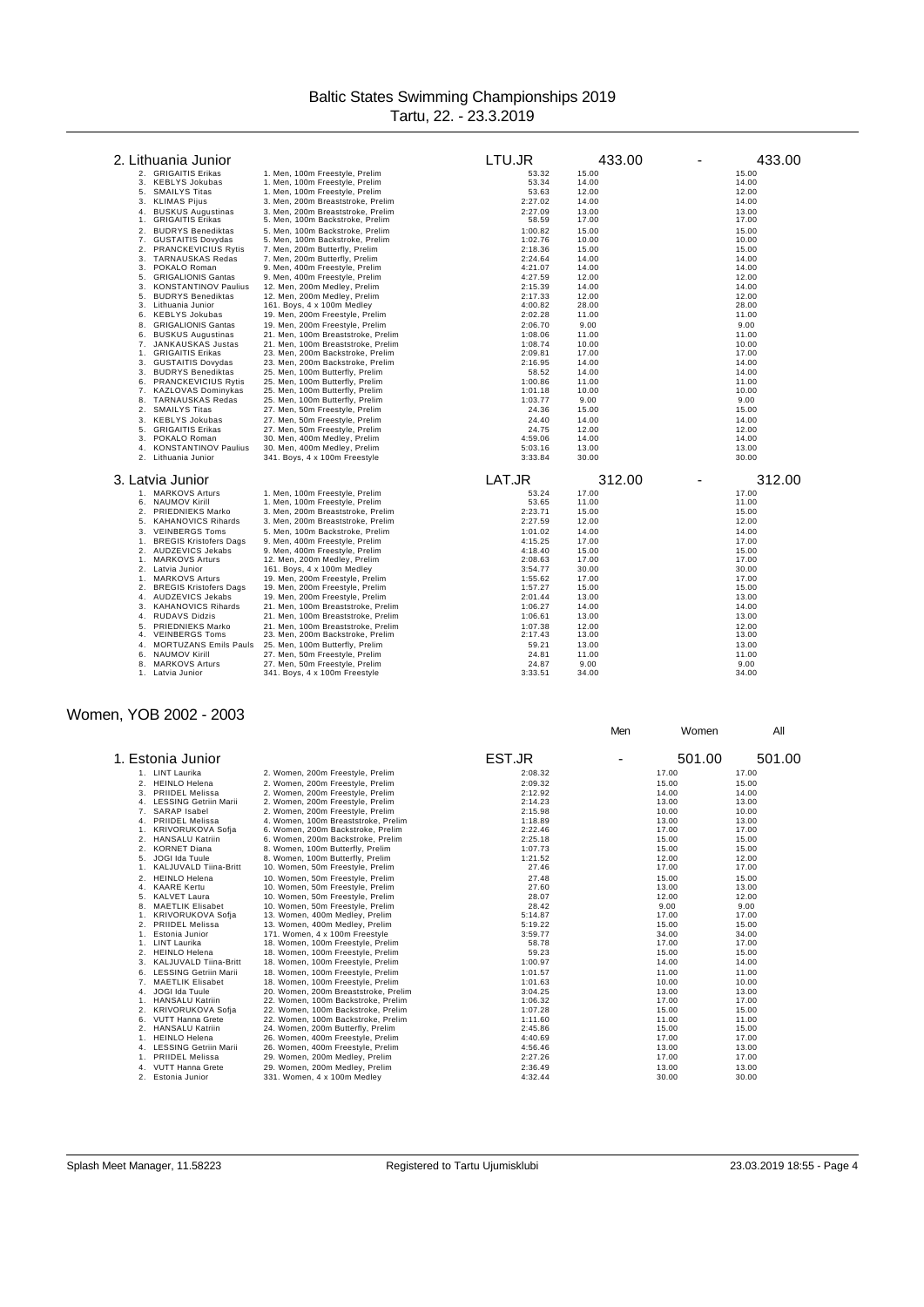| 2. Lithuania Junior                                        |                                                                   | LTU.JR             | 433.00         | 433.00         |
|------------------------------------------------------------|-------------------------------------------------------------------|--------------------|----------------|----------------|
| 2. GRIGAITIS Erikas                                        | 1. Men, 100m Freestyle, Prelim                                    | 53.32              | 15.00          | 15.00          |
| <b>KEBLYS Jokubas</b><br>3.                                | 1. Men, 100m Freestyle, Prelim                                    | 53.34              | 14.00          | 14.00          |
| <b>SMAILYS Titas</b><br>5.                                 | 1. Men, 100m Freestyle, Prelim                                    | 53.63              | 12.00          | 12.00          |
| <b>KLIMAS Pijus</b><br>3.                                  | 3. Men, 200m Breaststroke, Prelim                                 | 2:27.02            | 14.00          | 14.00          |
| <b>BUSKUS Augustinas</b><br>4.                             | 3. Men. 200m Breaststroke. Prelim                                 | 2:27.09            | 13.00          | 13.00          |
| <b>GRIGAITIS Erikas</b><br>1.                              | 5. Men, 100m Backstroke, Prelim                                   | 58.59              | 17.00          | 17.00          |
| <b>BUDRYS Benediktas</b><br>2.                             | 5. Men, 100m Backstroke, Prelim                                   | 1:00.82            | 15.00          | 15.00          |
| 7.<br><b>GUSTAITIS Dovydas</b>                             | 5. Men, 100m Backstroke, Prelim                                   | 1:02.76            | 10.00          | 10.00          |
| 2.<br><b>PRANCKEVICIUS Rytis</b>                           | 7. Men, 200m Butterfly, Prelim                                    | 2:18.36            | 15.00          | 15.00          |
| 3.<br>TARNAUSKAS Redas                                     | 7. Men, 200m Butterfly, Prelim                                    | 2:24.64            | 14.00          | 14.00          |
| 3.<br>POKALO Roman                                         | 9. Men, 400m Freestyle, Prelim                                    | 4:21.07            | 14.00          | 14.00          |
| 5.<br><b>GRIGALIONIS Gantas</b>                            | 9. Men, 400m Freestyle, Prelim                                    | 4:27.59            | 12.00          | 12.00          |
| 3.<br><b>KONSTANTINOV Paulius</b>                          | 12. Men, 200m Medley, Prelim                                      | 2:15.39            | 14.00          | 14.00          |
| 5.<br><b>BUDRYS Benediktas</b>                             | 12. Men, 200m Medley, Prelim                                      | 2:17.33            | 12.00          | 12.00          |
| 3.<br>Lithuania Junior                                     | 161. Boys, 4 x 100m Medley                                        | 4:00.82            | 28.00          | 28.00          |
| 6.<br><b>KEBLYS Jokubas</b>                                | 19. Men, 200m Freestyle, Prelim                                   | 2:02.28            | 11.00          | 11.00          |
| <b>GRIGALIONIS Gantas</b><br>8.                            | 19. Men, 200m Freestyle, Prelim                                   | 2:06.70            | 9.00           | 9.00           |
| 6.<br><b>BUSKUS Augustinas</b>                             | 21. Men, 100m Breaststroke, Prelim                                | 1:08.06            | 11.00          | 11.00          |
| <b>JANKAUSKAS Justas</b><br>7.                             | 21. Men, 100m Breaststroke, Prelim                                | 1:08.74            | 10.00          | 10.00          |
| <b>GRIGAITIS Erikas</b><br>1.                              | 23. Men, 200m Backstroke, Prelim                                  | 2:09.81            | 17.00          | 17.00          |
| <b>GUSTAITIS Dovydas</b><br>3.                             | 23. Men, 200m Backstroke, Prelim                                  | 2:16.95            | 14.00          | 14.00          |
| 3.<br><b>BUDRYS Benediktas</b>                             | 25. Men, 100m Butterfly, Prelim                                   | 58.52              | 14.00          | 14.00          |
| 6.<br><b>PRANCKEVICIUS Rytis</b><br>7.                     | 25. Men, 100m Butterfly, Prelim                                   | 1:00.86            | 11.00          | 11.00          |
| <b>KAZLOVAS Dominykas</b><br>8.<br><b>TARNAUSKAS Redas</b> | 25. Men, 100m Butterfly, Prelim                                   | 1:01.18<br>1:03.77 | 10.00<br>9.00  | 10.00<br>9.00  |
| 2. SMAILYS Titas                                           | 25. Men, 100m Butterfly, Prelim<br>27. Men, 50m Freestyle, Prelim | 24.36              | 15.00          | 15.00          |
|                                                            |                                                                   |                    |                |                |
| 3.<br><b>KEBLYS Jokubas</b><br>5.                          | 27. Men, 50m Freestyle, Prelim                                    | 24.40              | 14.00          | 14.00          |
| <b>GRIGAITIS Erikas</b><br>3.<br>POKALO Roman              | 27. Men, 50m Freestyle, Prelim<br>30. Men, 400m Medley, Prelim    | 24.75<br>4:59.06   | 12.00<br>14.00 | 12.00<br>14.00 |
| <b>KONSTANTINOV Paulius</b><br>4.                          | 30. Men, 400m Medley, Prelim                                      | 5:03.16            | 13.00          | 13.00          |
| 2. Lithuania Junior                                        | 341. Boys, 4 x 100m Freestyle                                     | 3:33.84            | 30.00          | 30.00          |
|                                                            |                                                                   |                    |                |                |
| 3. Latvia Junior                                           |                                                                   | LAT.JR             | 312.00         | 312.00         |
| 1. MARKOVS Arturs                                          | 1. Men, 100m Freestyle, Prelim                                    | 53.24              | 17.00          | 17.00          |
| <b>NAUMOV Kirill</b><br>6.                                 | 1. Men, 100m Freestyle, Prelim                                    | 53.65              | 11.00          | 11.00          |
| 2.<br>PRIEDNIEKS Marko                                     | 3. Men, 200m Breaststroke, Prelim                                 | 2:23.71            | 15.00          | 15.00          |
| 5.<br><b>KAHANOVICS Rihards</b>                            | 3. Men, 200m Breaststroke, Prelim                                 | 2:27.59            | 12.00          | 12.00          |
| <b>VEINBERGS Toms</b><br>3.                                | 5. Men, 100m Backstroke, Prelim                                   | 1:01.02            | 14.00          | 14.00          |
| 1.<br><b>BREGIS Kristofers Dags</b>                        | 9. Men, 400m Freestyle, Prelim                                    | 4:15.25            | 17.00          | 17.00          |
| AUDZEVICS Jekabs<br>2.                                     | 9. Men, 400m Freestyle, Prelim                                    | 4:18.40            | 15.00          | 15.00          |
| 1.<br><b>MARKOVS Arturs</b><br>2. Latvia Junior            | 12. Men, 200m Medley, Prelim<br>161. Boys, 4 x 100m Medley        | 2:08.63<br>3:54.77 | 17.00<br>30.00 | 17.00<br>30.00 |
| <b>MARKOVS Arturs</b><br>1.                                | 19. Men, 200m Freestyle, Prelim                                   | 1:55.62            | 17.00          | 17.00          |
| 2. BREGIS Kristofers Dags                                  | 19. Men, 200m Freestyle, Prelim                                   | 1:57.27            | 15.00          | 15.00          |
| 4. AUDZEVICS Jekabs                                        | 19. Men, 200m Freestyle, Prelim                                   | 2:01.44            | 13.00          | 13.00          |
| <b>KAHANOVICS Rihards</b><br>3.                            | 21. Men, 100m Breaststroke, Prelim                                | 1:06.27            | 14.00          | 14.00          |
| <b>RUDAVS Didzis</b><br>4.                                 | 21. Men, 100m Breaststroke, Prelim                                | 1:06.61            | 13.00          | 13.00          |
| PRIEDNIEKS Marko<br>5.                                     | 21. Men, 100m Breaststroke, Prelim                                | 1:07.38            | 12.00          | 12.00          |
| <b>VEINBERGS Toms</b><br>4.                                | 23. Men, 200m Backstroke, Prelim                                  | 2:17.43            | 13.00          | 13.00          |
| <b>MORTUZANS Emils Pauls</b><br>4.                         | 25. Men, 100m Butterfly, Prelim                                   | 59.21              | 13.00          | 13.00          |
| <b>NAUMOV Kirill</b><br>6.                                 | 27. Men, 50m Freestyle, Prelim                                    | 24.81              | 11.00          | 11.00          |
| <b>MARKOVS Arturs</b><br>8.                                | 27. Men, 50m Freestyle, Prelim                                    | 24.87              | 9.00           | 9.00           |
| 1.<br>Latvia Junior                                        | 341. Boys, 4 x 100m Freestyle                                     | 3:33.51            | 34.00          | 34.00          |

# Women, YOB 2002 - 2003

|    |                          |                                      |         | Men | Women  | All    |
|----|--------------------------|--------------------------------------|---------|-----|--------|--------|
|    | 1. Estonia Junior        |                                      | EST.JR  |     | 501.00 | 501.00 |
|    | 1. LINT Laurika          | 2. Women, 200m Freestyle, Prelim     | 2:08.32 |     | 17.00  | 17.00  |
|    | 2. HEINLO Helena         | 2. Women, 200m Freestyle, Prelim     | 2:09.32 |     | 15.00  | 15.00  |
|    | 3. PRIIDEL Melissa       | 2. Women, 200m Freestyle, Prelim     | 2:12.92 |     | 14.00  | 14.00  |
|    | 4. LESSING Getriin Marii | 2. Women, 200m Freestyle, Prelim     | 2:14.23 |     | 13.00  | 13.00  |
|    | 7. SARAP Isabel          | 2. Women, 200m Freestyle, Prelim     | 2:15.98 |     | 10.00  | 10.00  |
|    | 4. PRIIDEL Melissa       | 4. Women, 100m Breaststroke, Prelim  | 1:18.89 |     | 13.00  | 13.00  |
|    | KRIVORUKOVA Sofja        | 6. Women, 200m Backstroke, Prelim    | 2:22.46 |     | 17.00  | 17.00  |
| 2. | <b>HANSALU Katriin</b>   | 6. Women, 200m Backstroke, Prelim    | 2:25.18 |     | 15.00  | 15.00  |
| 2. | <b>KORNET Diana</b>      | 8. Women, 100m Butterfly, Prelim     | 1:07.73 |     | 15.00  | 15.00  |
| 5. | JOGI Ida Tuule           | 8. Women, 100m Butterfly, Prelim     | 1:21.52 |     | 12.00  | 12.00  |
|    | KALJUVALD Tiina-Britt    | 10. Women, 50m Freestyle, Prelim     | 27.46   |     | 17.00  | 17.00  |
|    | 2. HEINLO Helena         | 10. Women, 50m Freestyle, Prelim     | 27.48   |     | 15.00  | 15.00  |
|    | 4. KAARE Kertu           | 10. Women, 50m Freestyle, Prelim     | 27.60   |     | 13.00  | 13.00  |
| 5. | <b>KALVET Laura</b>      | 10. Women, 50m Freestyle, Prelim     | 28.07   |     | 12.00  | 12.00  |
| 8. | <b>MAETLIK Elisabet</b>  | 10. Women, 50m Freestyle, Prelim     | 28.42   |     | 9.00   | 9.00   |
|    | 1. KRIVORUKOVA Sofja     | 13. Women, 400m Medley, Prelim       | 5:14.87 |     | 17.00  | 17.00  |
|    | 2. PRIIDEL Melissa       | 13. Women, 400m Medley, Prelim       | 5:19.22 |     | 15.00  | 15.00  |
|    | Estonia Junior           | 171. Women, 4 x 100m Freestyle       | 3:59.77 |     | 34.00  | 34.00  |
|    | 1. LINT Laurika          | 18. Women, 100m Freestyle, Prelim    | 58.78   |     | 17.00  | 17.00  |
| 2. | <b>HEINLO Helena</b>     | 18. Women, 100m Freestyle, Prelim    | 59.23   |     | 15.00  | 15.00  |
| 3. | KALJUVALD Tiina-Britt    | 18. Women, 100m Freestyle, Prelim    | 1:00.97 |     | 14.00  | 14.00  |
|    | 6. LESSING Getriin Marii | 18. Women, 100m Freestyle, Prelim    | 1:01.57 |     | 11.00  | 11.00  |
|    | 7. MAETLIK Elisabet      | 18. Women, 100m Freestyle, Prelim    | 1:01.63 |     | 10.00  | 10.00  |
| 4. | JOGI Ida Tuule           | 20. Women, 200m Breaststroke, Prelim | 3:04.25 |     | 13.00  | 13.00  |
| 1. | <b>HANSALU Katriin</b>   | 22. Women, 100m Backstroke, Prelim   | 1:06.32 |     | 17.00  | 17.00  |
| 2. | KRIVORUKOVA Sofja        | 22. Women, 100m Backstroke, Prelim   | 1:07.28 |     | 15.00  | 15.00  |
| 6. | <b>VUTT Hanna Grete</b>  | 22. Women, 100m Backstroke, Prelim   | 1:11.60 |     | 11.00  | 11.00  |
| 2. | <b>HANSALU Katriin</b>   | 24. Women, 200m Butterfly, Prelim    | 2:45.86 |     | 15.00  | 15.00  |
|    | 1. HEINLO Helena         | 26. Women, 400m Freestyle, Prelim    | 4:40.69 |     | 17.00  | 17.00  |
|    | 4. LESSING Getriin Marii | 26. Women, 400m Freestyle, Prelim    | 4:56.46 |     | 13.00  | 13.00  |
| 1. | <b>PRIIDEL Melissa</b>   | 29. Women, 200m Medley, Prelim       | 2:27.26 |     | 17.00  | 17.00  |
| 4. | <b>VUTT Hanna Grete</b>  | 29. Women, 200m Medley, Prelim       | 2:36.49 |     | 13.00  | 13.00  |
| 2. | Estonia Junior           | 331. Women, 4 x 100m Medlev          | 4:32.44 |     | 30.00  | 30.00  |